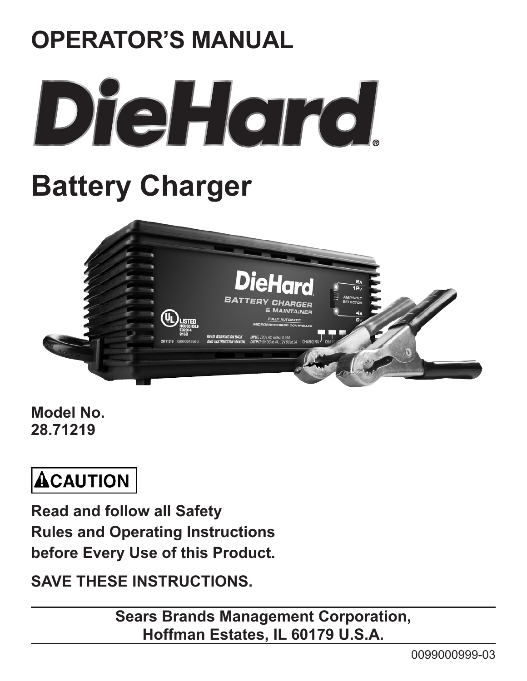

**Model No. 28.71219**

# **ACAUTION**

**Read and follow all Safety Rules and Operating Instructions before Every Use of this Product.**

**Save these instructions.**

**Sears Brands Management Corporation, Hoffman Estates, IL 60179 U.S.A.**

0099000999-03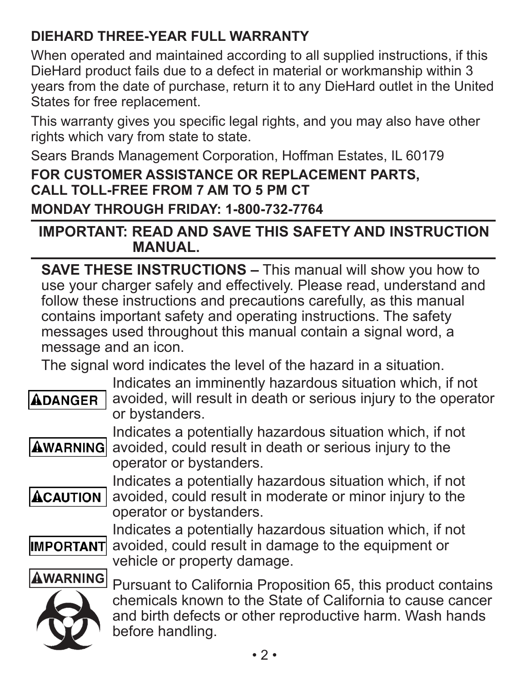### **DieHard THREe-Year Full Warranty**

When operated and maintained according to all supplied instructions, if this DieHard product fails due to a defect in material or workmanship within 3 years from the date of purchase, return it to any DieHard outlet in the United States for free replacement.

This warranty gives you specific legal rights, and you may also have other rights which vary from state to state.

Sears Brands Management Corporation, Hoffman Estates, IL 60179

### **For customer assistance or replacement parts, call toll-free from 7 am to 5 pm CT**

**Monday through Friday: 1-800-732-7764**

### **IMPORTANT: READ AND SAVE THIS SAFETY AND INSTRUCTION MANUAL.**

**SAVE THESE INSTRUCTIONS –** This manual will show you how to use your charger safely and effectively. Please read, understand and follow these instructions and precautions carefully, as this manual contains important safety and operating instructions. The safety messages used throughout this manual contain a signal word, a message and an icon.

The signal word indicates the level of the hazard in a situation.

## **ADANGER**

Indicates an imminently hazardous situation which, if not avoided, will result in death or serious injury to the operator or bystanders.

Indicates a potentially hazardous situation which, if not **AWARNING** avoided, could result in death or serious injury to the operator or bystanders.



Indicates a potentially hazardous situation which, if not avoided, could result in moderate or minor injury to the operator or bystanders.



Indicates a potentially hazardous situation which, if not avoided, could result in damage to the equipment or vehicle or property damage.





Pursuant to California Proposition 65, this product contains chemicals known to the State of California to cause cancer and birth defects or other reproductive harm. Wash hands before handling.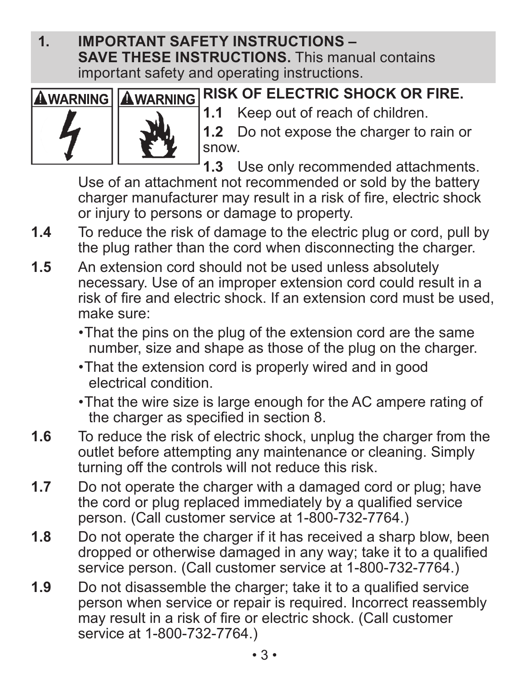**1. IMPORTANT SAFETY INSTRUCTIONS – SAVE THESE INSTRUCTIONS.** This manual contains important safety and operating instructions.





**RISK OF ELECTRIC SHOCK OR FIRE.**

**1.1** Keep out of reach of children.

**1.2** Do not expose the charger to rain or snow.

**1.3** Use only recommended attachments.

Use of an attachment not recommended or sold by the battery charger manufacturer may result in a risk of fire, electric shock or injury to persons or damage to property.

- **1.4** To reduce the risk of damage to the electric plug or cord, pull by the plug rather than the cord when disconnecting the charger.
- **1.5** An extension cord should not be used unless absolutely necessary. Use of an improper extension cord could result in a risk of fire and electric shock. If an extension cord must be used, make sure:
	- •That the pins on the plug of the extension cord are the same number, size and shape as those of the plug on the charger.
	- •That the extension cord is properly wired and in good electrical condition.
	- •That the wire size is large enough for the AC ampere rating of the charger as specified in section 8.
- **1.6** To reduce the risk of electric shock, unplug the charger from the outlet before attempting any maintenance or cleaning. Simply turning off the controls will not reduce this risk.
- **1.7** Do not operate the charger with a damaged cord or plug; have the cord or plug replaced immediately by a qualified service person. (Call customer service at 1-800-732-7764.)
- **1.8** Do not operate the charger if it has received a sharp blow, been dropped or otherwise damaged in any way; take it to a qualified service person. (Call customer service at 1-800-732-7764.)
- **1.9** Do not disassemble the charger; take it to a qualified service person when service or repair is required. Incorrect reassembly may result in a risk of fire or electric shock. (Call customer service at 1-800-732-7764.)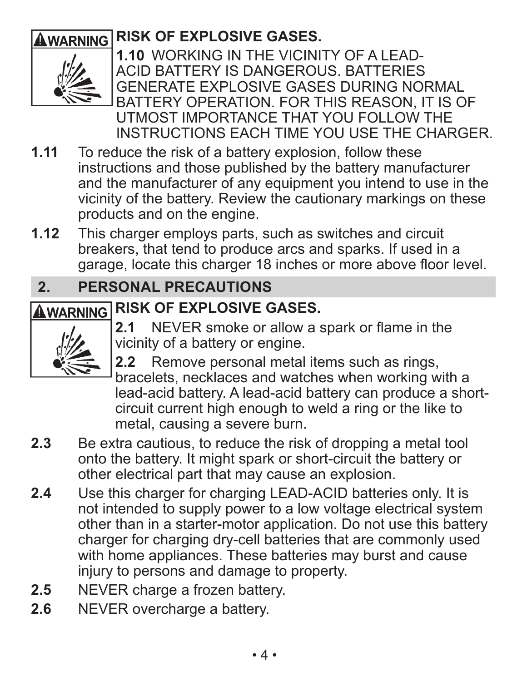## **AWARNING RISK OF EXPLOSIVE GASES.**



**1.10** WORKING IN THE VICINITY OF A LEAD-ACID BATTERY IS DANGEROUS. BATTERIES GENERATE EXPLOSIVE GASES DURING NORMAL BATTERY OPERATION. FOR THIS REASON, IT IS OF UTMOST IMPORTANCE THAT YOU FOLLOW THE INSTRUCTIONS EACH TIME YOU USE THE CHARGER.

- **1.11** To reduce the risk of a battery explosion, follow these instructions and those published by the battery manufacturer and the manufacturer of any equipment you intend to use in the vicinity of the battery. Review the cautionary markings on these products and on the engine.
- **1.12** This charger employs parts, such as switches and circuit breakers, that tend to produce arcs and sparks. If used in a garage, locate this charger 18 inches or more above floor level.

### **2. PERSONAL PRECAUTIONS**

## **AWARNING RISK OF EXPLOSIVE GASES.**



**2.1** NEVER smoke or allow a spark or flame in the vicinity of a battery or engine.

**2.2** Remove personal metal items such as rings, bracelets, necklaces and watches when working with a lead-acid battery. A lead-acid battery can produce a shortcircuit current high enough to weld a ring or the like to metal, causing a severe burn.

- **2.3** Be extra cautious, to reduce the risk of dropping a metal tool onto the battery. It might spark or short-circuit the battery or other electrical part that may cause an explosion.
- **2.4** Use this charger for charging LEAD-ACID batteries only. It is not intended to supply power to a low voltage electrical system other than in a starter-motor application. Do not use this battery charger for charging dry-cell batteries that are commonly used with home appliances. These batteries may burst and cause injury to persons and damage to property.
- **2.5** NEVER charge a frozen battery.
- 2.6 NEVER overcharge a battery.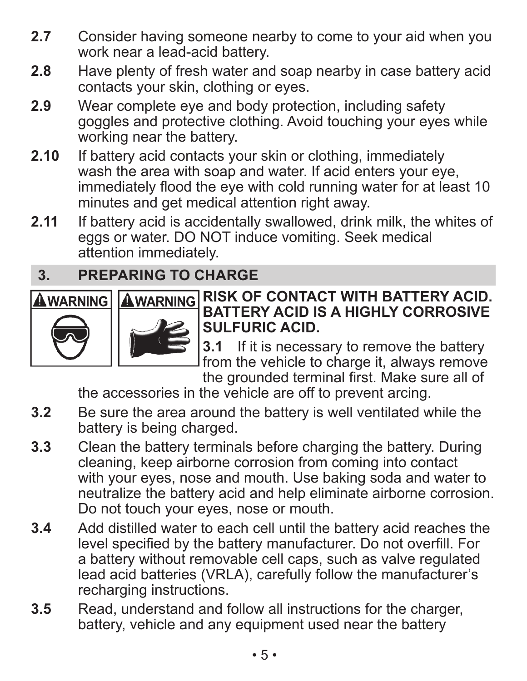- **2.7** Consider having someone nearby to come to your aid when you work near a lead-acid battery.
- **2.8** Have plenty of fresh water and soap nearby in case battery acid contacts your skin, clothing or eyes.
- **2.9** Wear complete eye and body protection, including safety goggles and protective clothing. Avoid touching your eyes while working near the battery.
- **2.10** If battery acid contacts your skin or clothing, immediately wash the area with soap and water. If acid enters your eye, immediately flood the eye with cold running water for at least 10 minutes and get medical attention right away.
- **2.11** If battery acid is accidentally swallowed, drink milk, the whites of eggs or water. DO NOT induce vomiting. Seek medical attention immediately.

### **3. PREPARING TO CHARGE**





### **AWARNING AWARNING RISK OF CONTACT WITH BATTERY ACID. BATTERY ACID IS A HIGHLY CORROSIVE SULFURIC ACID.**

**3.1** If it is necessary to remove the battery from the vehicle to charge it, always remove the grounded terminal first. Make sure all of

the accessories in the vehicle are off to prevent arcing.

- **3.2** Be sure the area around the battery is well ventilated while the battery is being charged.
- **3.3** Clean the battery terminals before charging the battery. During cleaning, keep airborne corrosion from coming into contact with your eyes, nose and mouth. Use baking soda and water to neutralize the battery acid and help eliminate airborne corrosion. Do not touch your eyes, nose or mouth.
- **3.4** Add distilled water to each cell until the battery acid reaches the level specified by the battery manufacturer. Do not overfill. For a battery without removable cell caps, such as valve regulated lead acid batteries (VRLA), carefully follow the manufacturer's recharging instructions.
- **3.5** Read, understand and follow all instructions for the charger, battery, vehicle and any equipment used near the battery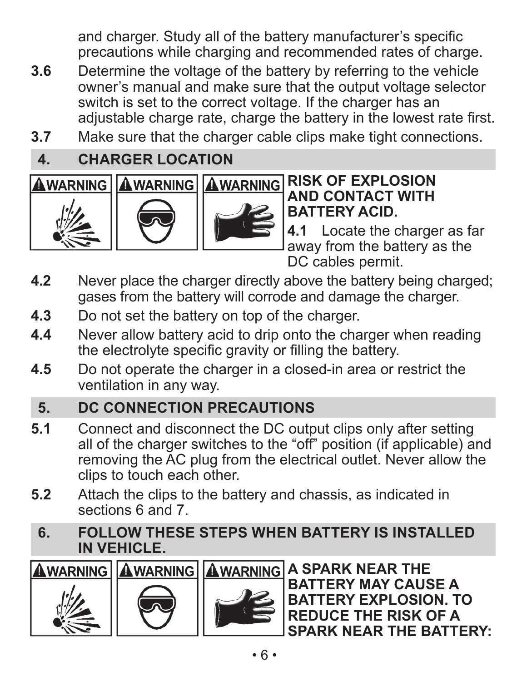and charger. Study all of the battery manufacturer's specific precautions while charging and recommended rates of charge.

- **3.6** Determine the voltage of the battery by referring to the vehicle owner's manual and make sure that the output voltage selector switch is set to the correct voltage. If the charger has an adjustable charge rate, charge the battery in the lowest rate first.
- **3.7** Make sure that the charger cable clips make tight connections.

### **4. CHARGER LOCATION**







### **AWARNING AWARNING AWARNING RISK OF EXPLOSION AND CONTACT WITH BATTERY ACID.**

**4.1** Locate the charger as far away from the battery as the DC cables permit.

- **4.2** Never place the charger directly above the battery being charged; gases from the battery will corrode and damage the charger.
- **4.3** Do not set the battery on top of the charger.
- **4.4** Never allow battery acid to drip onto the charger when reading the electrolyte specific gravity or filling the battery.
- **4.5** Do not operate the charger in a closed-in area or restrict the ventilation in any way.

### **5. DC CONNECTION PRECAUTIONS**

- **5.1** Connect and disconnect the DC output clips only after setting all of the charger switches to the "off" position (if applicable) and removing the AC plug from the electrical outlet. Never allow the clips to touch each other.
- **5.2** Attach the clips to the battery and chassis, as indicated in sections 6 and 7.
- **6. FOLLOW THESE STEPS WHEN BATTERY IS INSTALLED IN VEHICLE.**





**AWARNING AWARNING AWARNING A SPARK NEAR THE BATTERY MAY CAUSE A BATTERY EXPLOSION. TO REDUCE THE RISK OF A SPARK NEAR THE BATTERY:**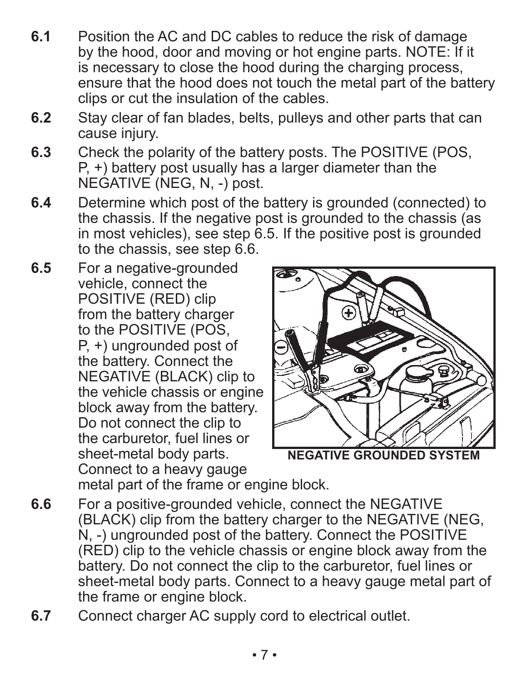- **6.1** Position the AC and DC cables to reduce the risk of damage by the hood, door and moving or hot engine parts. NOTE: If it is necessary to close the hood during the charging process, ensure that the hood does not touch the metal part of the battery clips or cut the insulation of the cables.
- **6.2** Stay clear of fan blades, belts, pulleys and other parts that can cause injury.
- **6.3** Check the polarity of the battery posts. The POSITIVE (POS, P, +) battery post usually has a larger diameter than the NEGATIVE (NEG, N, -) post.
- **6.4** Determine which post of the battery is grounded (connected) to the chassis. If the negative post is grounded to the chassis (as in most vehicles), see step 6.5. If the positive post is grounded to the chassis, see step 6.6.
- **6.5** For a negative-grounded vehicle, connect the POSITIVE (RED) clip from the battery charger to the POSITIVE (POS, P, +) ungrounded post of the battery. Connect the NEGATIVE (BLACK) clip to the vehicle chassis or engine block away from the battery. Do not connect the clip to the carburetor, fuel lines or sheet-metal body parts. Connect to a heavy gauge metal part of the frame or engine block.



**NEGATIVE GROUNDED SYSTEM**

- **6.6** For a positive-grounded vehicle, connect the NEGATIVE (BLACK) clip from the battery charger to the NEGATIVE (NEG, N, -) ungrounded post of the battery. Connect the POSITIVE (RED) clip to the vehicle chassis or engine block away from the battery. Do not connect the clip to the carburetor, fuel lines or sheet-metal body parts. Connect to a heavy gauge metal part of the frame or engine block.
- **6.7** Connect charger AC supply cord to electrical outlet.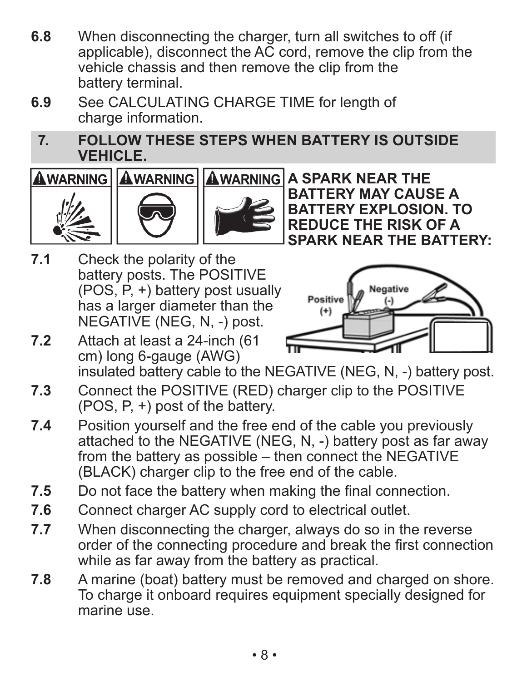- **6.8** When disconnecting the charger, turn all switches to off (if applicable), disconnect the AC cord, remove the clip from the vehicle chassis and then remove the clip from the battery terminal.
- **6.9** See CALCULATING CHARGE TIME for length of charge information.
- **7. FOLLOW THESE STEPS WHEN BATTERY IS OUTSIDE VEHICLE.**







**AWARNING AWARNING A SPARK NEAR THE BATTERY MAY CAUSE A BATTERY EXPLOSION. TO REDUCE THE RISK OF A SPARK NEAR THE BATTERY:**

**7.1** Check the polarity of the battery posts. The POSITIVE (POS, P, +) battery post usually has a larger diameter than the NEGATIVE (NEG, N, -) post.



**7.2** Attach at least a 24-inch (61 cm) long 6-gauge (AWG)

insulated battery cable to the NEGATIVE (NEG, N, -) battery post.

- **7.3** Connect the POSITIVE (RED) charger clip to the POSITIVE (POS, P, +) post of the battery.
- **7.4** Position yourself and the free end of the cable you previously attached to the NEGATIVE (NEG, N, -) battery post as far away from the battery as possible – then connect the NEGATIVE (BLACK) charger clip to the free end of the cable.
- **7.5** Do not face the battery when making the final connection.
- **7.6** Connect charger AC supply cord to electrical outlet.
- **7.7** When disconnecting the charger, always do so in the reverse order of the connecting procedure and break the first connection while as far away from the battery as practical.
- **7.8** A marine (boat) battery must be removed and charged on shore. To charge it onboard requires equipment specially designed for marine use.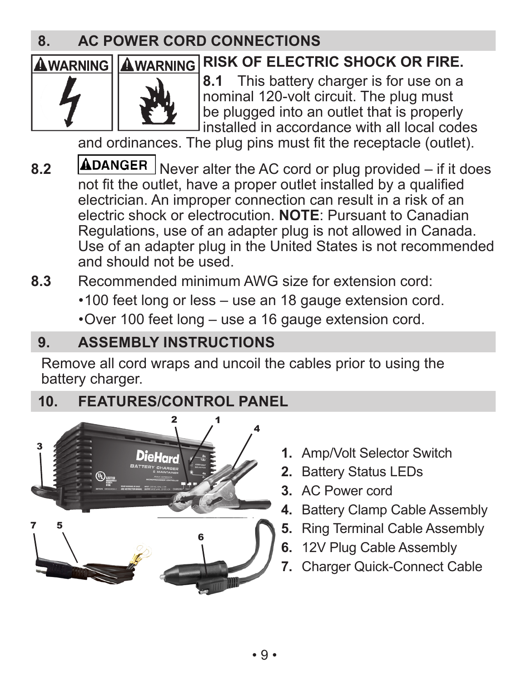### **8. ac power cord connections**

## **AWARNING AWARNING RISK OF ELECTRIC SHOCK OR FIRE.**



**8.1** This battery charger is for use on a nominal 120-volt circuit. The plug must be plugged into an outlet that is properly installed in accordance with all local codes

and ordinances. The plug pins must fit the receptacle (outlet).

8.2 **ADANGER** Never alter the AC cord or plug provided – if it does not fit the outlet, have a proper outlet installed by a qualified electrician. An improper connection can result in a risk of an electric shock or electrocution. **NOTE**: Pursuant to Canadian Regulations, use of an adapter plug is not allowed in Canada. Use of an adapter plug in the United States is not recommended and should not be used.

**8.3** Recommended minimum AWG size for extension cord:

- •100 feet long or less use an 18 gauge extension cord.
- •Over 100 feet long use a 16 gauge extension cord.

### **9. Assembly instructions**

Remove all cord wraps and uncoil the cables prior to using the battery charger.

### **10. Features/Control Panel 4**



- **1.** Amp/Volt Selector Switch
- **2.** Battery Status LEDs
- **3.** AC Power cord
- **4.** Battery Clamp Cable Assembly
- **5.** Ring Terminal Cable Assembly
- **6.** 12V Plug Cable Assembly
- **7.** Charger Quick-Connect Cable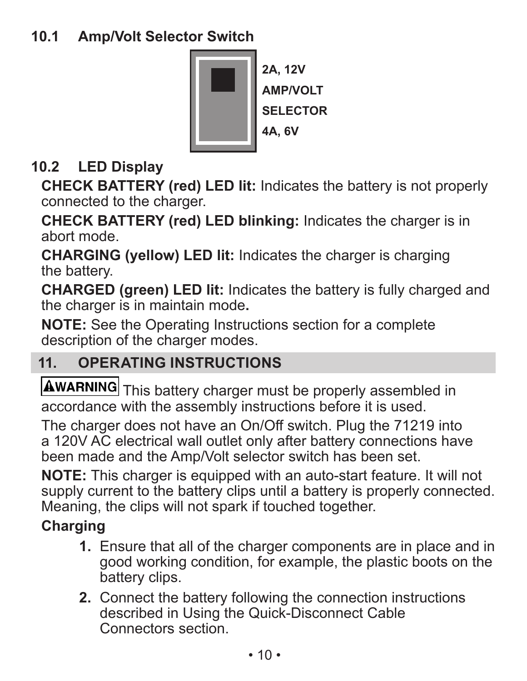

### **10.2 LED Display**

**CHECK BATTERY (red) LED lit:** Indicates the battery is not properly connected to the charger.

**CHECK BATTERY (red) LED blinking:** Indicates the charger is in abort mode.

**CHARGING (yellow) LED lit:** Indicates the charger is charging the battery.

**CHARGED (green) LED lit:** Indicates the battery is fully charged and the charger is in maintain mode**.**

**NOTE:** See the Operating Instructions section for a complete description of the charger modes.

### **11. OPERATING INSTRUCTIONS**

**AWARNING** This battery charger must be properly assembled in accordance with the assembly instructions before it is used.

The charger does not have an On/Off switch. Plug the 71219 into a 120V AC electrical wall outlet only after battery connections have been made and the Amp/Volt selector switch has been set.

**NOTE:** This charger is equipped with an auto-start feature. It will not supply current to the battery clips until a battery is properly connected. Meaning, the clips will not spark if touched together.

### **Charging**

- **1.** Ensure that all of the charger components are in place and in good working condition, for example, the plastic boots on the battery clips.
- **2.** Connect the battery following the connection instructions described in Using the Quick-Disconnect Cable Connectors section.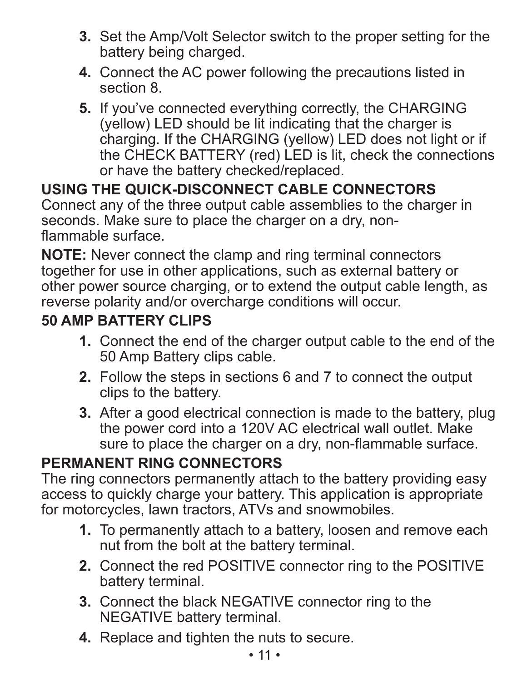- **3.** Set the Amp/Volt Selector switch to the proper setting for the battery being charged.
- **4.** Connect the AC power following the precautions listed in section 8.
- **5.** If you've connected everything correctly, the CHARGING (yellow) LED should be lit indicating that the charger is charging. If the CHARGING (yellow) LED does not light or if the CHECK BATTERY (red) LED is lit, check the connections or have the battery checked/replaced.

### **USING THE QUICK-DISCONNECT CABLE CONNECTORS**

Connect any of the three output cable assemblies to the charger in seconds. Make sure to place the charger on a dry, nonflammable surface.

**NOTE:** Never connect the clamp and ring terminal connectors together for use in other applications, such as external battery or other power source charging, or to extend the output cable length, as reverse polarity and/or overcharge conditions will occur.

### **50 amp Battery Clips**

- **1.** Connect the end of the charger output cable to the end of the 50 Amp Battery clips cable.
- **2.** Follow the steps in sections 6 and 7 to connect the output clips to the battery.
- **3.** After a good electrical connection is made to the battery, plug the power cord into a 120V AC electrical wall outlet. Make sure to place the charger on a dry, non-flammable surface.

### **Permanent Ring Connectors**

The ring connectors permanently attach to the battery providing easy access to quickly charge your battery. This application is appropriate for motorcycles, lawn tractors, ATVs and snowmobiles.

- **1.** To permanently attach to a battery, loosen and remove each nut from the bolt at the battery terminal.
- **2.** Connect the red POSITIVE connector ring to the POSITIVE battery terminal.
- **3.** Connect the black NEGATIVE connector ring to the NEGATIVE battery terminal.
- **4.** Replace and tighten the nuts to secure.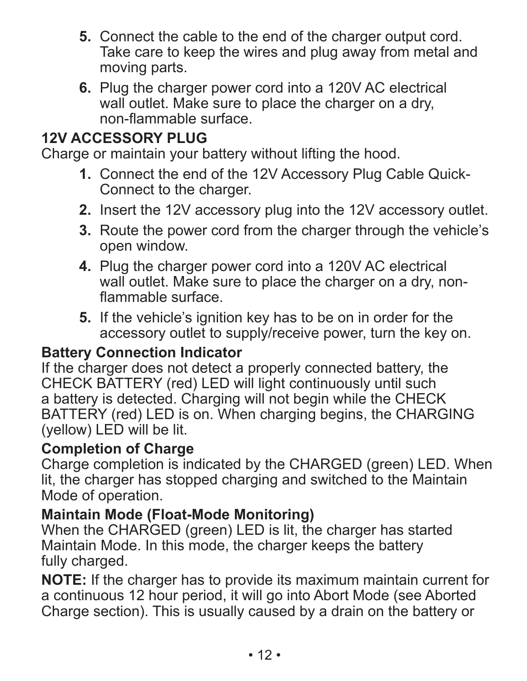- **5.** Connect the cable to the end of the charger output cord. Take care to keep the wires and plug away from metal and moving parts.
- **6.** Plug the charger power cord into a 120V AC electrical wall outlet. Make sure to place the charger on a dry. non-flammable surface.

### **12V Accessory Plug**

Charge or maintain your battery without lifting the hood.

- **1.** Connect the end of the 12V Accessory Plug Cable Quick-Connect to the charger.
- **2.** Insert the 12V accessory plug into the 12V accessory outlet.
- **3.** Route the power cord from the charger through the vehicle's open window.
- **4.** Plug the charger power cord into a 120V AC electrical wall outlet. Make sure to place the charger on a dry, nonflammable surface.
- **5.** If the vehicle's ignition key has to be on in order for the accessory outlet to supply/receive power, turn the key on.

### **Battery Connection Indicator**

If the charger does not detect a properly connected battery, the CHECK BATTERY (red) LED will light continuously until such a battery is detected. Charging will not begin while the CHECK BATTERY (red) LED is on. When charging begins, the CHARGING (yellow) LED will be lit.

### **Completion of Charge**

Charge completion is indicated by the CHARGED (green) LED. When lit, the charger has stopped charging and switched to the Maintain Mode of operation.

### **Maintain Mode (Float-Mode Monitoring)**

When the CHARGED (green) LED is lit, the charger has started Maintain Mode. In this mode, the charger keeps the battery fully charged.

**NOTE:** If the charger has to provide its maximum maintain current for a continuous 12 hour period, it will go into Abort Mode (see Aborted Charge section). This is usually caused by a drain on the battery or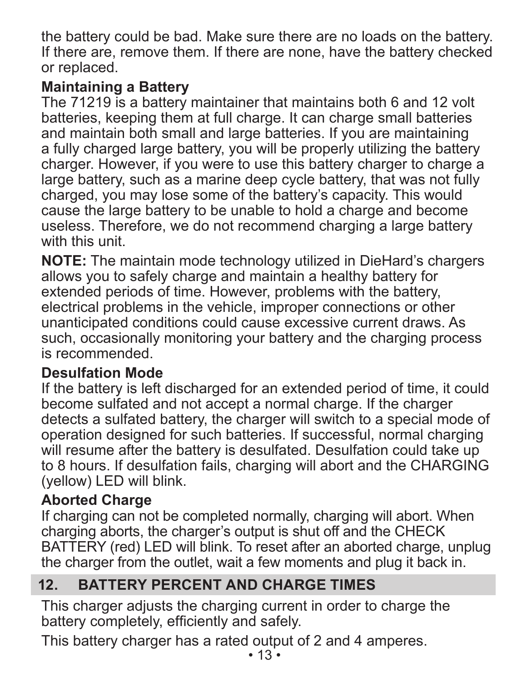the battery could be bad. Make sure there are no loads on the battery. If there are, remove them. If there are none, have the battery checked or replaced.

### **Maintaining a Battery**

The 71219 is a battery maintainer that maintains both 6 and 12 volt batteries, keeping them at full charge. It can charge small batteries and maintain both small and large batteries. If you are maintaining a fully charged large battery, you will be properly utilizing the battery charger. However, if you were to use this battery charger to charge a large battery, such as a marine deep cycle battery, that was not fully charged, you may lose some of the battery's capacity. This would cause the large battery to be unable to hold a charge and become useless. Therefore, we do not recommend charging a large battery with this unit.

**NOTE:** The maintain mode technology utilized in DieHard's chargers allows you to safely charge and maintain a healthy battery for extended periods of time. However, problems with the battery, electrical problems in the vehicle, improper connections or other unanticipated conditions could cause excessive current draws. As such, occasionally monitoring your battery and the charging process is recommended.

### **Desulfation Mode**

If the battery is left discharged for an extended period of time, it could become sulfated and not accept a normal charge. If the charger detects a sulfated battery, the charger will switch to a special mode of operation designed for such batteries. If successful, normal charging will resume after the battery is desulfated. Desulfation could take up to 8 hours. If desulfation fails, charging will abort and the CHARGING (yellow) LED will blink.

### **Aborted Charge**

If charging can not be completed normally, charging will abort. When charging aborts, the charger's output is shut off and the CHECK BATTERY (red) LED will blink. To reset after an aborted charge, unplug the charger from the outlet, wait a few moments and plug it back in.

### **12. Battery percent and charge times**

This charger adjusts the charging current in order to charge the battery completely, efficiently and safely.

This battery charger has a rated output of 2 and 4 amperes.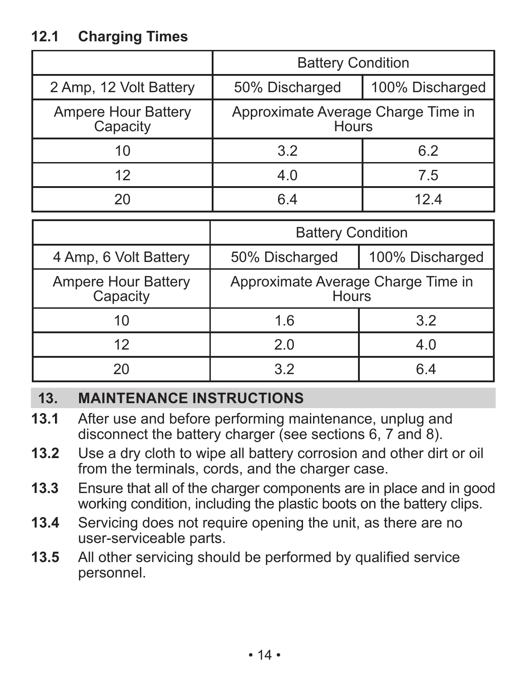### **12.1 Charging Times**

|                                 | <b>Battery Condition</b>                    |                 |
|---------------------------------|---------------------------------------------|-----------------|
| 2 Amp, 12 Volt Battery          | 50% Discharged                              | 100% Discharged |
| Ampere Hour Battery<br>Capacity | Approximate Average Charge Time in<br>Hours |                 |
| 10                              | 3.2                                         | 6.2             |
| 12                              | 4.0                                         | 7.5             |
| 2Ο                              | հ 4                                         | 124             |

|                                 | <b>Battery Condition</b>                    |                 |
|---------------------------------|---------------------------------------------|-----------------|
| 4 Amp, 6 Volt Battery           | 50% Discharged                              | 100% Discharged |
| Ampere Hour Battery<br>Capacity | Approximate Average Charge Time in<br>Hours |                 |
| 10                              | 1.6                                         | 3.2             |
| 12                              | 2.0                                         | 4.0             |
| 2Ω                              | 32                                          | 6 4             |

### **13. Maintenance instructions**

- **13.1** After use and before performing maintenance, unplug and disconnect the battery charger (see sections 6, 7 and 8).
- **13.2** Use a dry cloth to wipe all battery corrosion and other dirt or oil from the terminals, cords, and the charger case.
- **13.3** Ensure that all of the charger components are in place and in good working condition, including the plastic boots on the battery clips.
- **13.4** Servicing does not require opening the unit, as there are no user-serviceable parts.
- **13.5** All other servicing should be performed by qualified service personnel.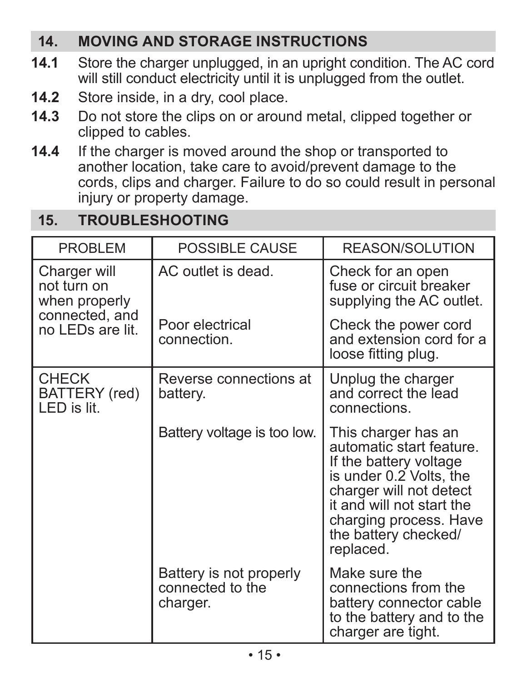### **14. Moving and STORAGE INSTRUCTIONS**

- **14.1** Store the charger unplugged, in an upright condition. The AC cord will still conduct electricity until it is unplugged from the outlet.
- **14.2** Store inside, in a dry, cool place.
- **14.3** Do not store the clips on or around metal, clipped together or clipped to cables.
- **14.4** If the charger is moved around the shop or transported to another location, take care to avoid/prevent damage to the cords, clips and charger. Failure to do so could result in personal injury or property damage.

### **15. TROUBLESHOOTING**

| <b>PROBLEM</b>                               | POSSIBLE CAUSE                                          | REASON/SOLUTION                                                                                                                                                                                                             |
|----------------------------------------------|---------------------------------------------------------|-----------------------------------------------------------------------------------------------------------------------------------------------------------------------------------------------------------------------------|
| Charger will<br>not turn on<br>when properly | AC outlet is dead.                                      | Check for an open<br>fuse or circuit breaker<br>supplying the AC outlet.                                                                                                                                                    |
| connected, and<br>no LEDs are lit.           | Poor electrical<br>connection.                          | Check the power cord<br>and extension cord for a<br>loose fitting plug.                                                                                                                                                     |
| <b>CHECK</b><br>BATTERY (red)<br>LED is lit. | Reverse connections at<br>battery.                      | Unplug the charger<br>and correct the lead<br>connections.                                                                                                                                                                  |
|                                              | Battery voltage is too low.                             | This charger has an<br>automatic start feature.<br>If the battery voltage<br>is under 0.2 Volts, the<br>charger will not detect<br>it and will not start the<br>charging process. Have<br>the battery checked/<br>replaced. |
|                                              | Battery is not properly<br>connected to the<br>charger. | Make sure the<br>connections from the<br>battery connector cable<br>to the battery and to the<br>charger are tight.                                                                                                         |